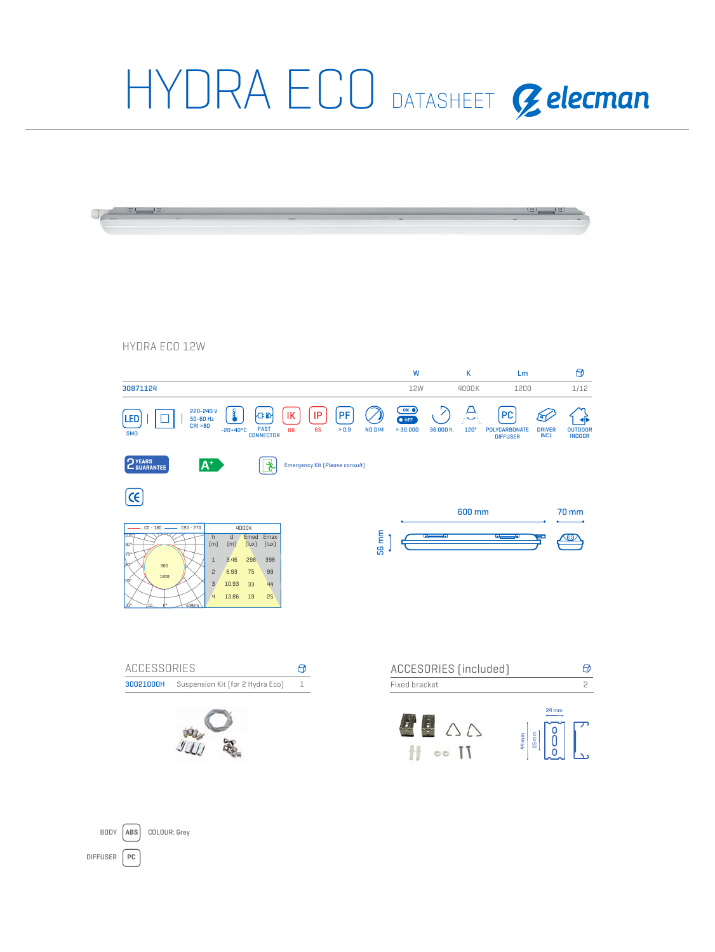

DIFFUSER **PC**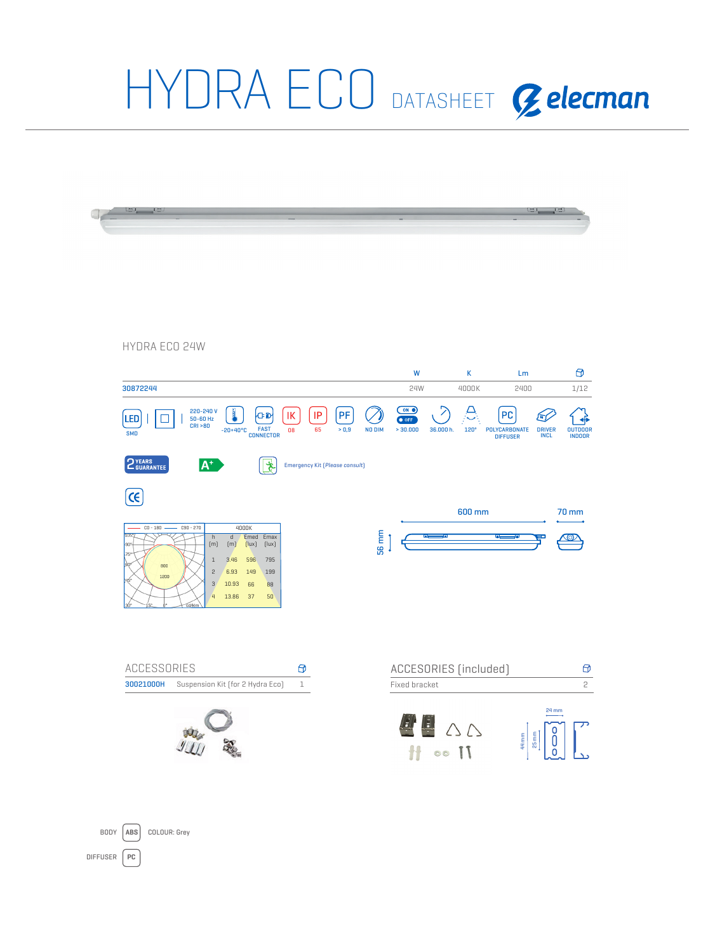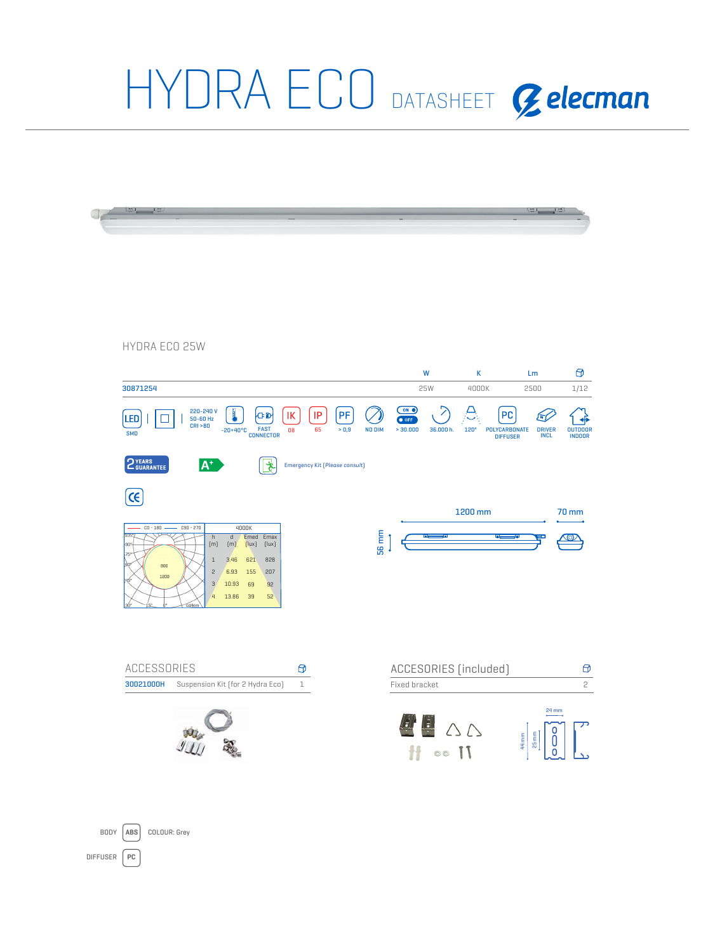

DIFFUSER **PC**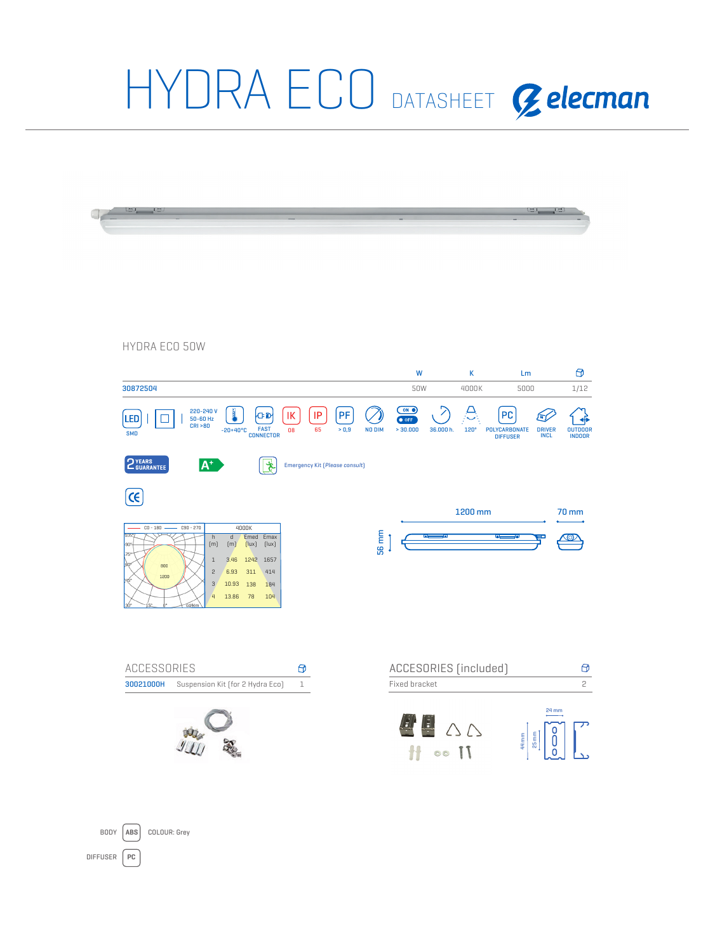

DIFFUSER **PC**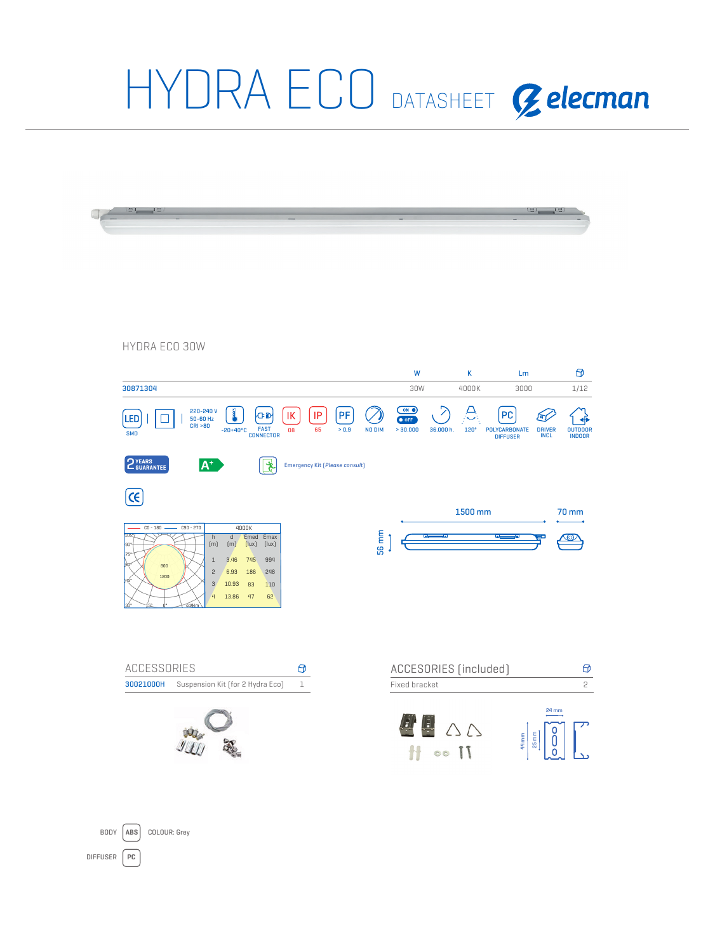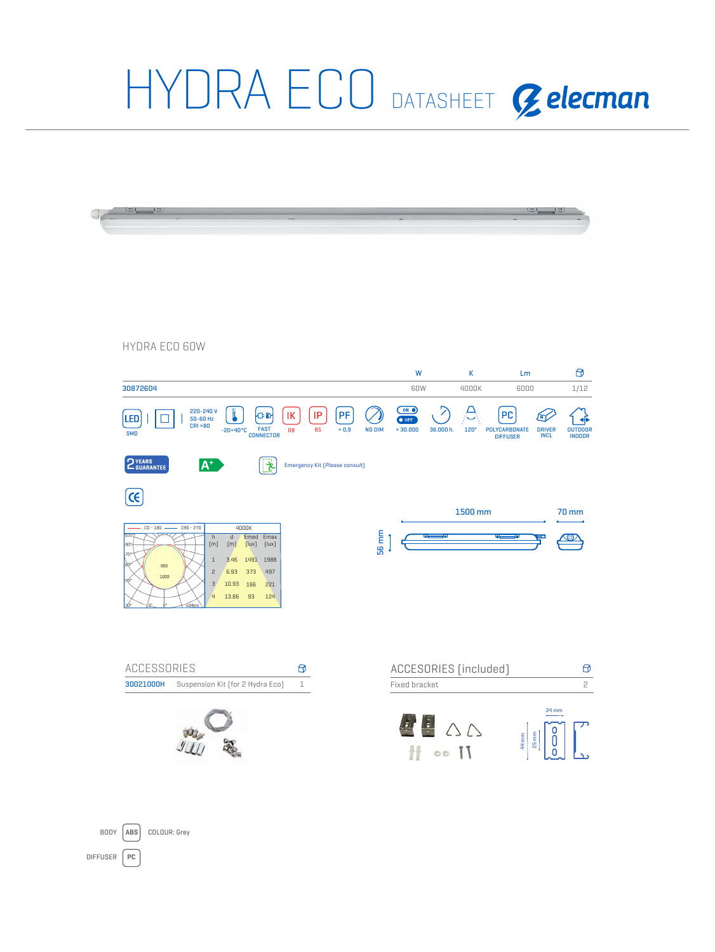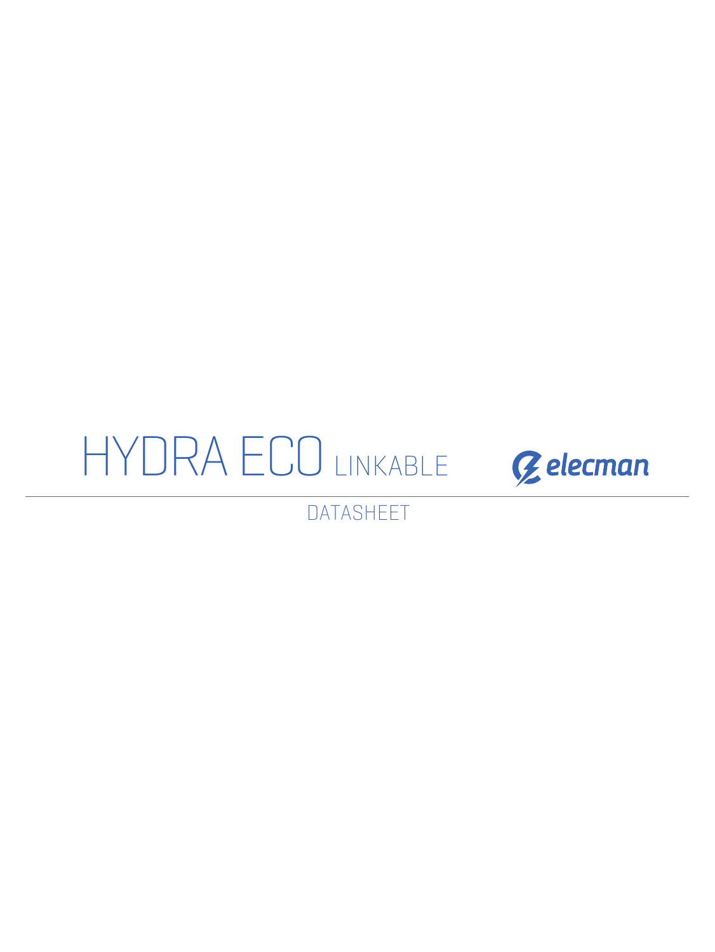



DATASHEET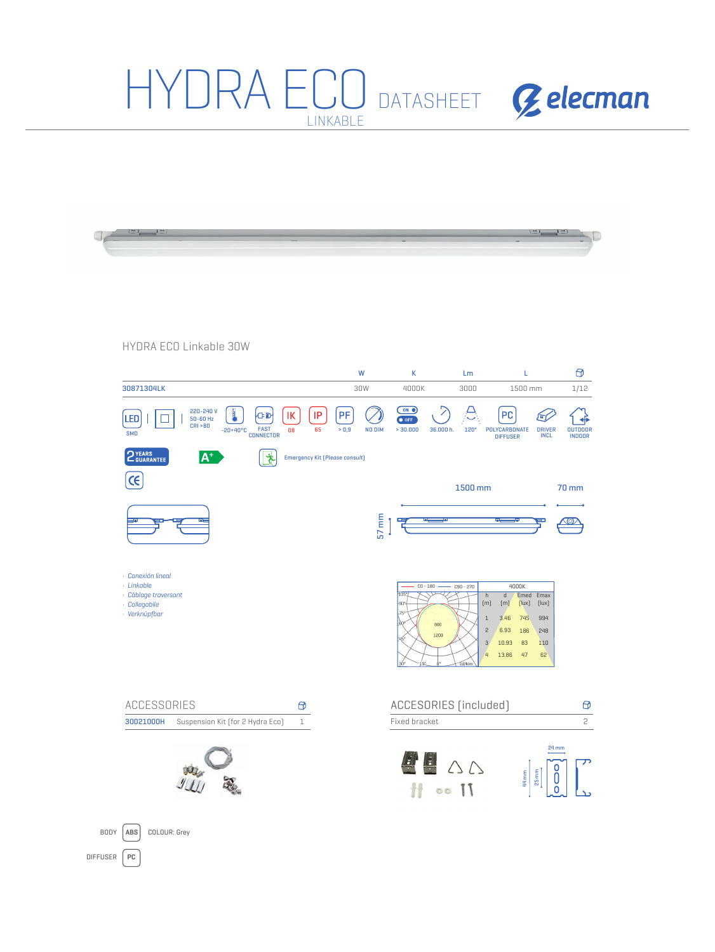#### HYDRA ECO DATASHEET Gelecman LINKABLE

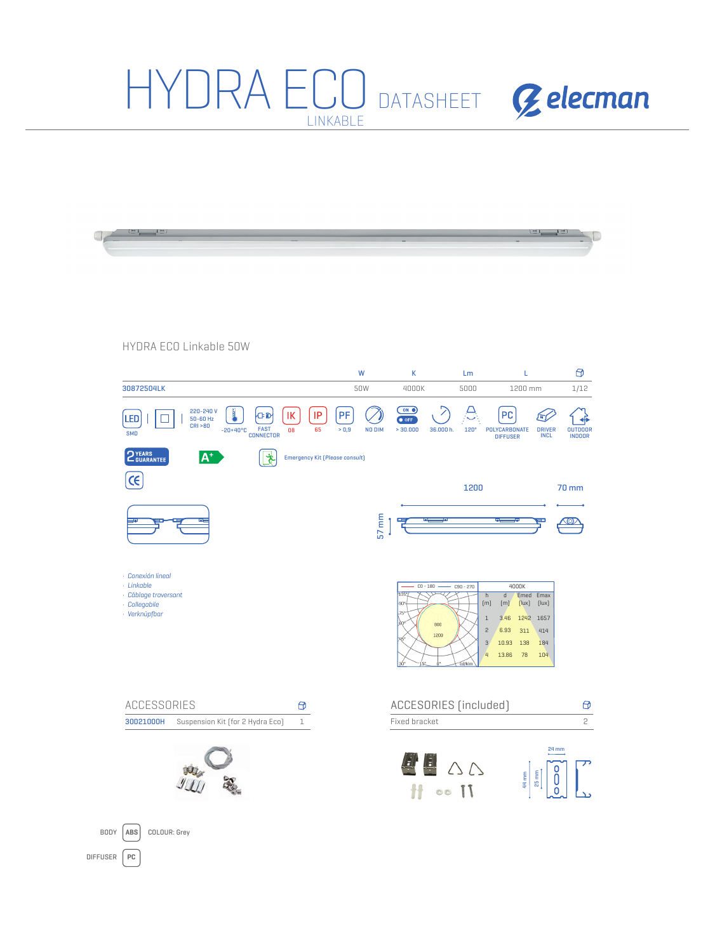#### HYDRA ECO DATASHEET Gelecman LINKABLE